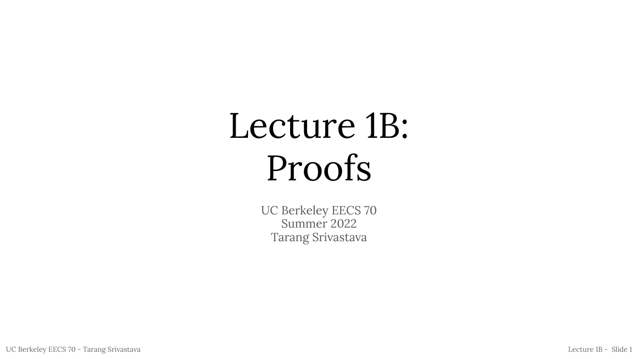# Lecture 1B: Proofs

UC Berkeley EECS 70 Summer 2022 Tarang Srivastava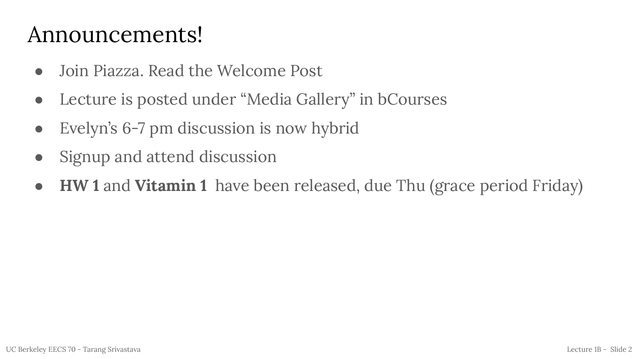#### Announcements!

- Join Piazza. Read the Welcome Post
- Lecture is posted under "Media Gallery" in bCourses
- **●** Evelyn's 6-7 pm discussion is now hybrid
- Signup and attend discussion
- **● HW 1** and **Vitamin 1** have been released, due Thu (grace period Friday)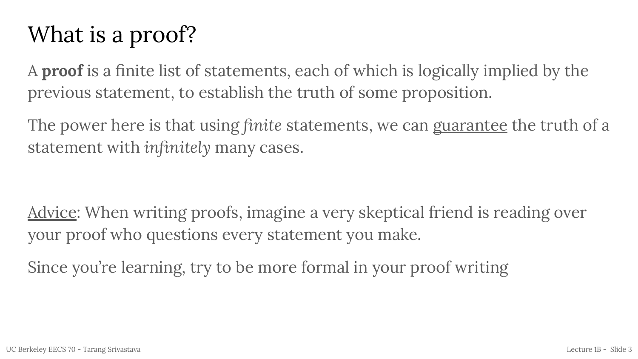### What is a proof?

A **proof** is a finite list of statements, each of which is logically implied by the previous statement, to establish the truth of some proposition.

The power here is that using *finite* statements, we can guarantee the truth of a statement with *infinitely* many cases.

Advice: When writing proofs, imagine a very skeptical friend is reading over your proof who questions every statement you make.

Since you're learning, try to be more formal in your proof writing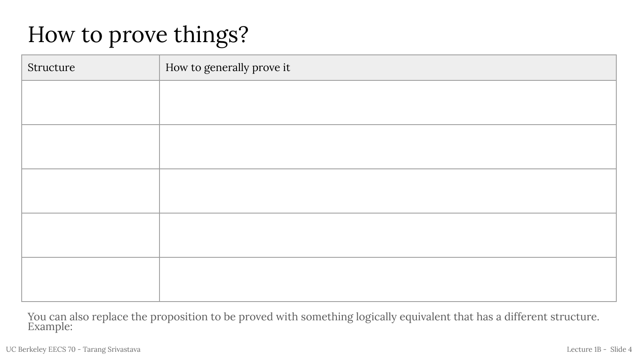### How to prove things?

| Structure | How to generally prove it |
|-----------|---------------------------|
|           |                           |
|           |                           |
|           |                           |
|           |                           |
|           |                           |
|           |                           |
|           |                           |
|           |                           |
|           |                           |
|           |                           |

You can also replace the proposition to be proved with something logically equivalent that has a different structure. Example: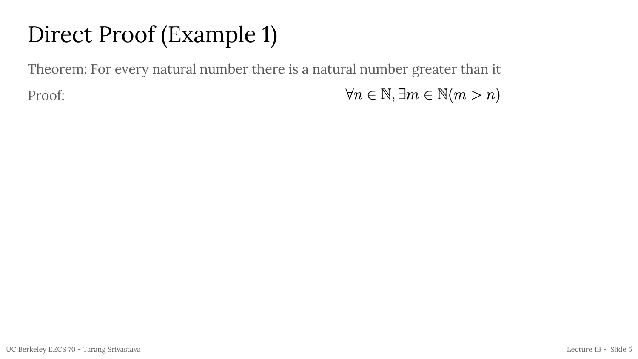### Direct Proof (Example 1)

Theorem: For every natural number there is a natural number greater than it

Proof:

 $\forall n \in \mathbb{N}, \exists m \in \mathbb{N}(m > n)$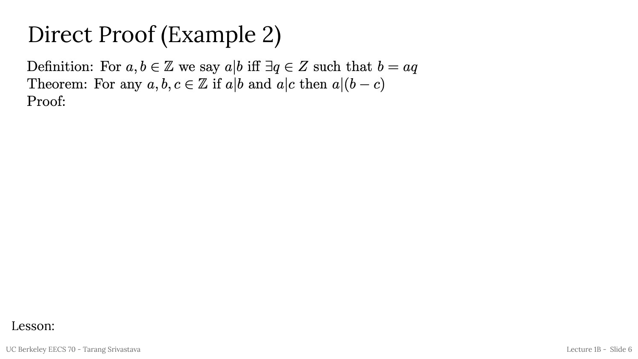#### Direct Proof (Example 2)

Definition: For  $a, b \in \mathbb{Z}$  we say  $a|b$  iff  $\exists q \in \mathbb{Z}$  such that  $b = aq$ Theorem: For any  $a, b, c \in \mathbb{Z}$  if  $a|b$  and  $a|c$  then  $a|(b-c)$ Proof:

#### Lesson: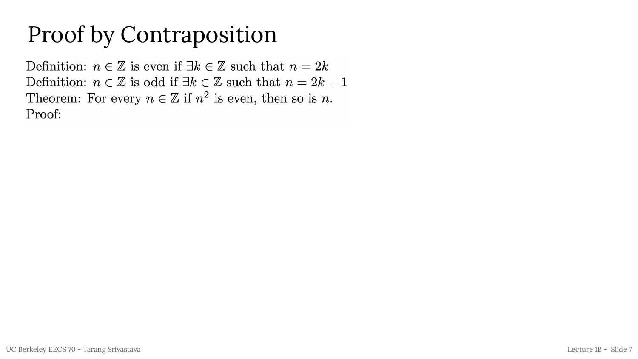#### Proof by Contraposition

Definition:  $n \in \mathbb{Z}$  is even if  $\exists k \in \mathbb{Z}$  such that  $n = 2k$ Definition:  $n \in \mathbb{Z}$  is odd if  $\exists k \in \mathbb{Z}$  such that  $n = 2k + 1$ Theorem: For every  $n \in \mathbb{Z}$  if  $n^2$  is even, then so is n. Proof: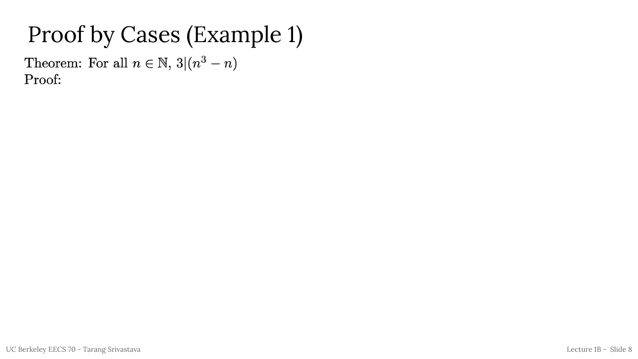#### Proof by Cases (Example 1)

Theorem: For all  $n \in \mathbb{N}$ ,  $3|(n^3 - n)$ Proof: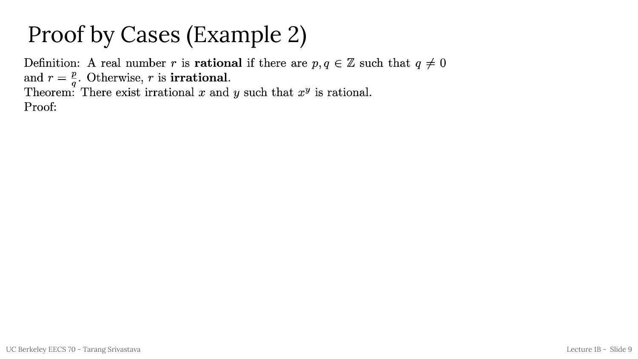## Proof by Cases (Example 2)

Definition: A real number r is **rational** if there are  $p, q \in \mathbb{Z}$  such that  $q \neq 0$ and  $r = \frac{p}{q}$ . Otherwise, r is **irrational**. Theorem: There exist irrational x and y such that  $x^y$  is rational. Proof: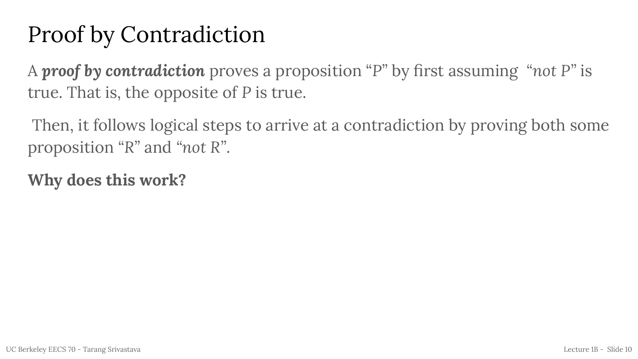### Proof by Contradiction

A *proof by contradiction* proves a proposition "*P"* by first assuming *"not P"* is true. That is, the opposite of *P* is true.

 Then, it follows logical steps to arrive at a contradiction by proving both some proposition *"R"* and *"not R"*.

**Why does this work?**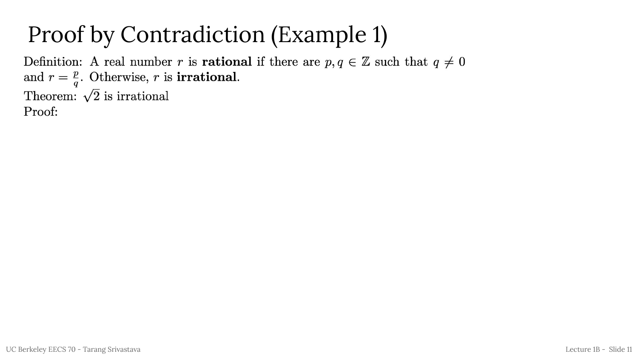#### Proof by Contradiction (Example 1)

Definition: A real number r is **rational** if there are  $p, q \in \mathbb{Z}$  such that  $q \neq 0$ and  $r = \frac{p}{q}$ . Otherwise, r is **irrational**. Theorem:  $\sqrt{2}$  is irrational

Proof: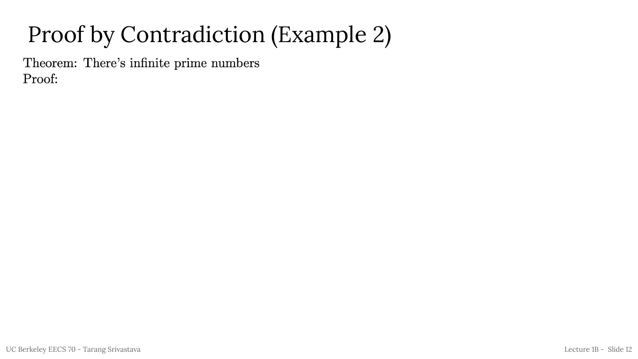## Proof by Contradiction (Example 2)

Theorem: There's infinite prime numbers Proof: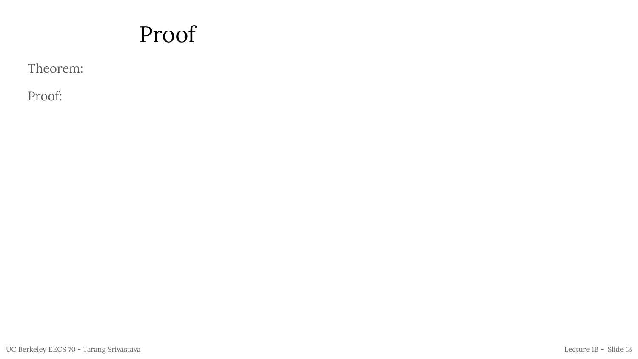#### Proof

Theorem:

Proof: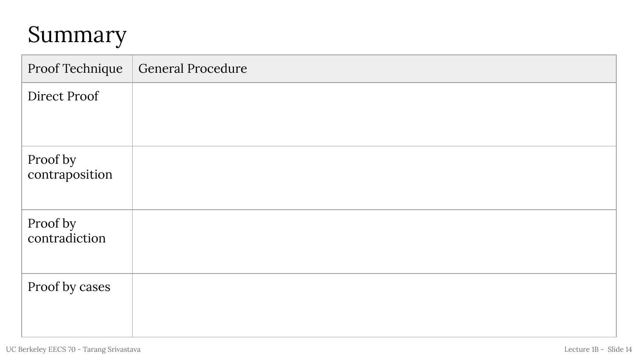#### Summary

| Proof Technique            | <b>General Procedure</b> |
|----------------------------|--------------------------|
| Direct Proof               |                          |
|                            |                          |
| Proof by<br>contraposition |                          |
| Proof by<br>contradiction  |                          |
| Proof by cases             |                          |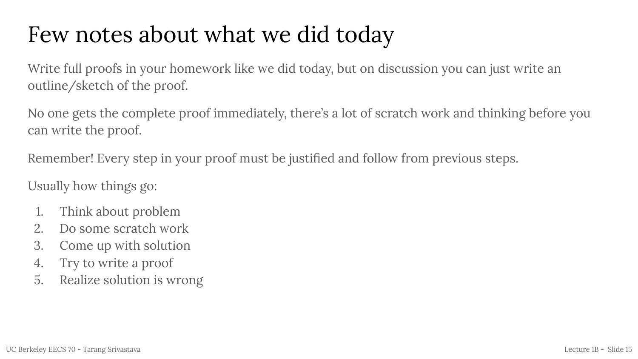#### Few notes about what we did today

Write full proofs in your homework like we did today, but on discussion you can just write an outline/sketch of the proof.

No one gets the complete proof immediately, there's a lot of scratch work and thinking before you can write the proof.

Remember! Every step in your proof must be justified and follow from previous steps.

Usually how things go:

- 1. Think about problem
- 2. Do some scratch work
- 3. Come up with solution
- 4. Try to write a proof
- 5. Realize solution is wrong